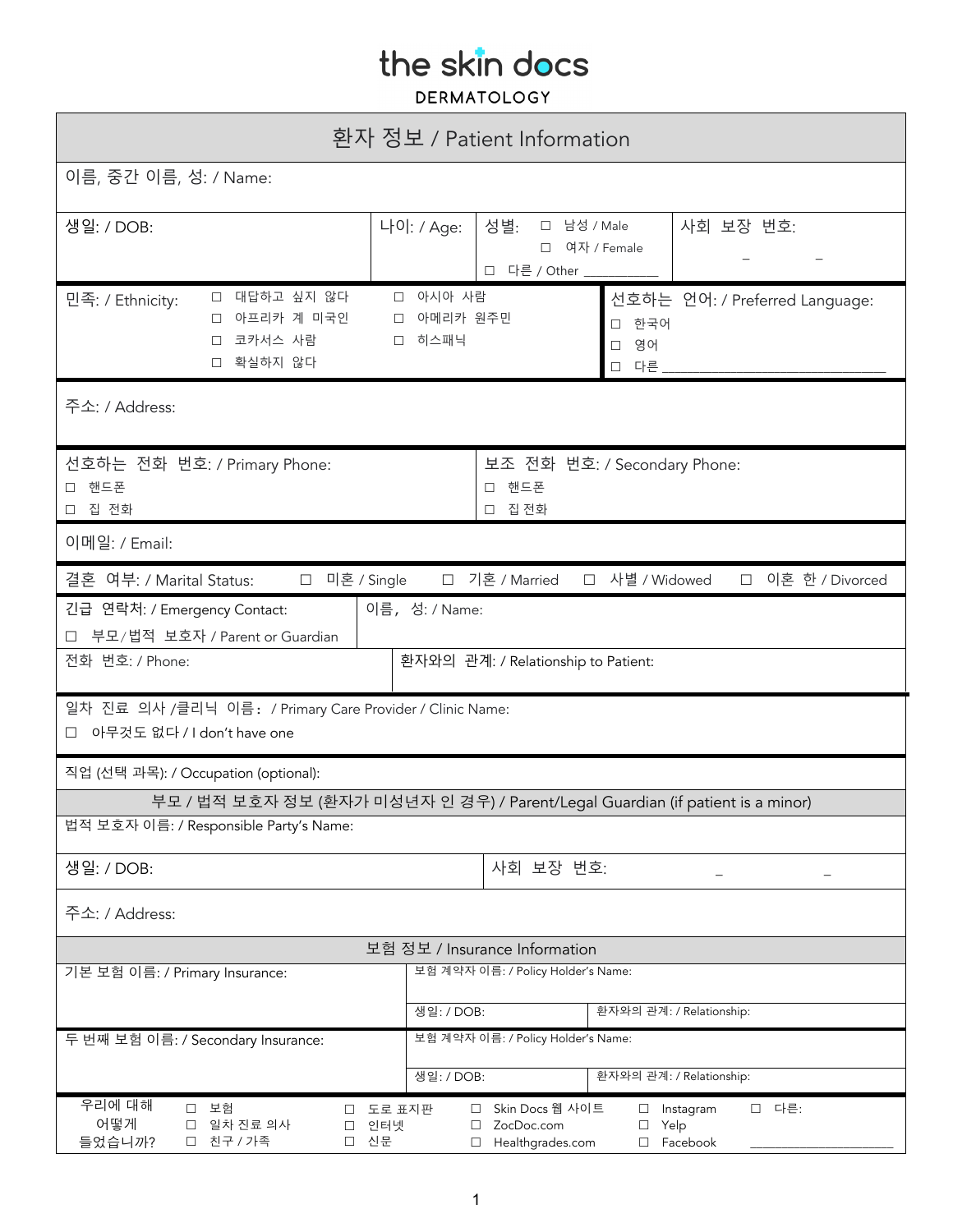| 환자 정보 / Patient Information                                                                                              |                                                                              |                                                                                      |                |                                                 |
|--------------------------------------------------------------------------------------------------------------------------|------------------------------------------------------------------------------|--------------------------------------------------------------------------------------|----------------|-------------------------------------------------|
| 이름, 중간 이름, 성: / Name:                                                                                                    |                                                                              |                                                                                      |                |                                                 |
| 생일: / DOB:                                                                                                               | 나이: / Age:                                                                   | □ 남성 / Male<br>사회 보장 번호:<br>성별:<br>여자 / Female<br>$\Box$<br>□ 다른 / Other ___         |                |                                                 |
| □ 대답하고 싶지 않다<br>민족: / Ethnicity:<br>아프리카 계 미국인<br>$\Box$<br>П.<br>코카서스 사람<br>$\Box$<br>확실하지 않다<br>$\Box$                 | □ 아시아 사람<br>□ 히스패닉                                                           | 선호하는 언어: / Preferred Language:<br>아메리카 원주민<br>한국어<br>$\Box$<br>영어<br>$\Box$<br>□ 다른. |                |                                                 |
| 주소: / Address:                                                                                                           |                                                                              |                                                                                      |                |                                                 |
| 선호하는 전화 번호: / Primary Phone:<br>보조 전화 번호: / Secondary Phone:<br>□ 핸드폰<br>□ 핸드폰<br>□ 집 전화<br>□ 집 전화                       |                                                                              |                                                                                      |                |                                                 |
| 이메일: / Email:                                                                                                            |                                                                              |                                                                                      |                |                                                 |
| 결혼 여부: / Marital Status:<br>□ 미혼 / Single                                                                                |                                                                              | □ 기혼 / Married                                                                       | □ 사별 / Widowed | □ 이혼 한 / Divorced                               |
| 긴급 연락처: / Emergency Contact:                                                                                             | 이름, 성: / Name:                                                               |                                                                                      |                |                                                 |
| 부모/법적 보호자 / Parent or Guardian<br>□<br>전화 번호: / Phone:<br>환자와의 관계: / Relationship to Patient:                            |                                                                              |                                                                                      |                |                                                 |
| 일차 진료 의사 /클리닉 이름: / Primary Care Provider / Clinic Name:<br>아무것도 없다 / I don't have one                                   |                                                                              |                                                                                      |                |                                                 |
| 직업 (선택 과목): / Occupation (optional):                                                                                     |                                                                              |                                                                                      |                |                                                 |
| 부모 / 법적 보호자 정보 (환자가 미성년자 인 경우) / Parent/Legal Guardian (if patient is a minor)                                           |                                                                              |                                                                                      |                |                                                 |
| 법적 보호자 이름: / Responsible Party's Name:                                                                                   |                                                                              |                                                                                      |                |                                                 |
| 사회 보장 번호:<br>생일: / DOB:                                                                                                  |                                                                              |                                                                                      |                |                                                 |
| 주소: / Address:                                                                                                           |                                                                              |                                                                                      |                |                                                 |
| 보험 정보 / Insurance Information<br>기본 보험 이름: / Primary Insurance:<br>보험 계약자 이름: / Policy Holder's Name:                    |                                                                              |                                                                                      |                |                                                 |
|                                                                                                                          |                                                                              |                                                                                      |                |                                                 |
| 두 번째 보험 이름: / Secondary Insurance:                                                                                       | 환자와의 관계: / Relationship:<br>생일: / DOB:<br>보험 계약자 이름: / Policy Holder's Name: |                                                                                      |                |                                                 |
|                                                                                                                          | 환자와의 관계: / Relationship:                                                     |                                                                                      |                |                                                 |
| 우리에 대해                                                                                                                   | 생일: / DOB:                                                                   |                                                                                      |                |                                                 |
| 보험<br>도로 표지판<br>$\Box$<br>$\Box$<br>어떻게<br>일차 진료 의사<br>□<br>인터넷<br>$\Box$<br>들었습니까?<br>친구 / 가족<br>신문<br>$\Box$<br>$\Box$ | $\Box$<br>$\Box$<br>$\Box$                                                   | Skin Docs 웹 사이트<br>ZocDoc.com<br>Healthgrades.com                                    | $\Box$         | □ 다른:<br>$\Box$ Instagram<br>Yelp<br>□ Facebook |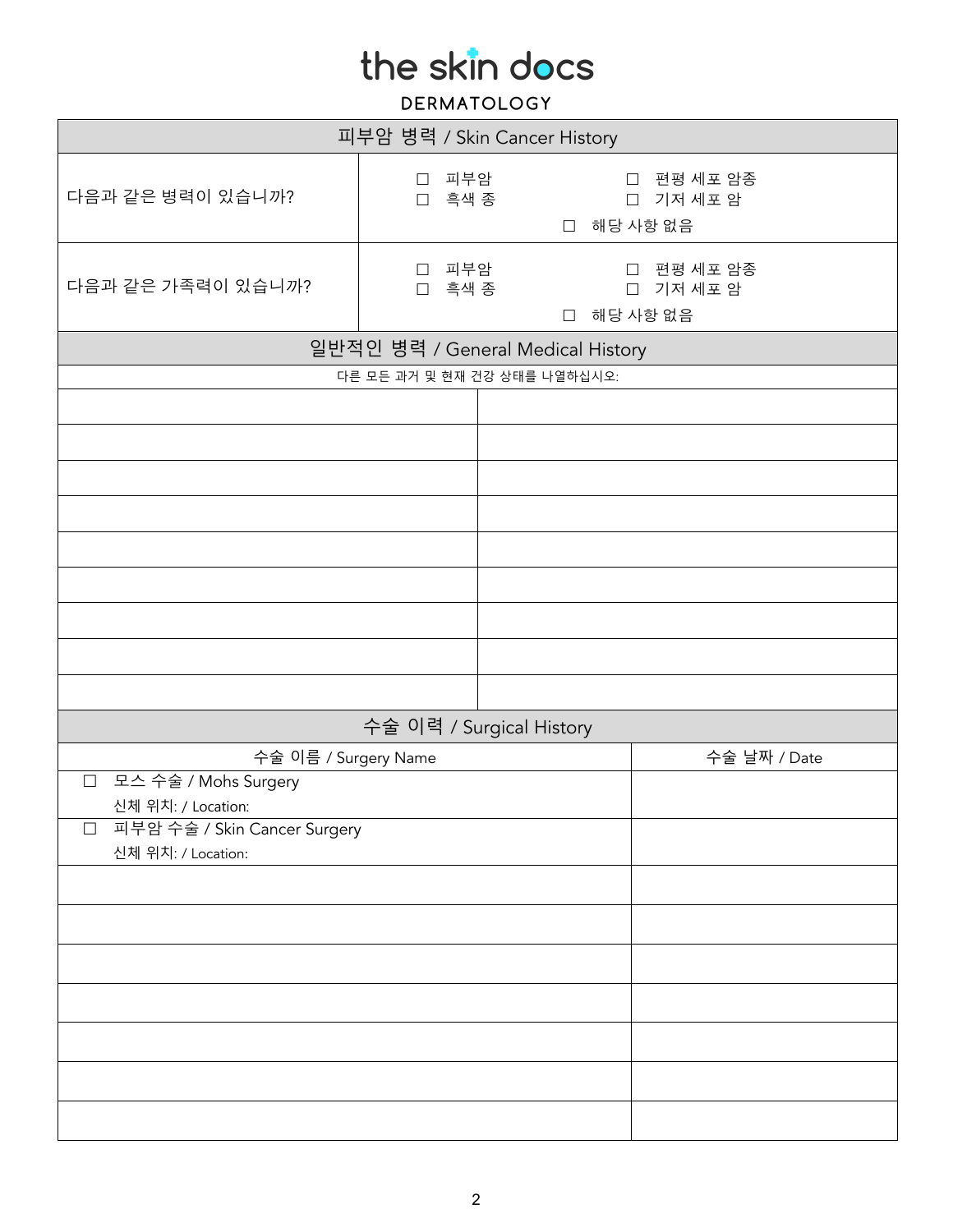| 피부암 병력 / Skin Cancer History                         |                          |                                   |                                 |  |
|------------------------------------------------------|--------------------------|-----------------------------------|---------------------------------|--|
| 다음과 같은 병력이 있습니까?                                     | □ 피부암<br>□ 흑색 종          | □ 해당 사항 없음                        | □ 편평 세포 암종<br>□ 기저 세포 암         |  |
| 다음과 같은 가족력이 있습니까?                                    | 피부암<br>$\Box$<br>□ 흑색 종  | □ 해당 사항 없음                        | 편평 세포 암종<br>$\Box$<br>□ 기저 세포 암 |  |
|                                                      |                          | 일반적인 병력 / General Medical History |                                 |  |
|                                                      |                          | 다른 모든 과거 및 현재 건강 상태를 나열하십시오:      |                                 |  |
|                                                      |                          |                                   |                                 |  |
|                                                      |                          |                                   |                                 |  |
|                                                      |                          |                                   |                                 |  |
|                                                      |                          |                                   |                                 |  |
|                                                      |                          |                                   |                                 |  |
|                                                      |                          |                                   |                                 |  |
|                                                      |                          |                                   |                                 |  |
|                                                      |                          |                                   |                                 |  |
|                                                      |                          |                                   |                                 |  |
|                                                      | 수술 이력 / Surgical History |                                   |                                 |  |
| 수술 이름 / Surgery Name                                 |                          |                                   | 수술 날짜 / Date                    |  |
| 모스 수술 / Mohs Surgery<br>$\Box$<br>신체 위치: / Location: |                          |                                   |                                 |  |
| 피부암 수술 / Skin Cancer Surgery<br>$\Box$               |                          |                                   |                                 |  |
| 신체 위치: / Location:                                   |                          |                                   |                                 |  |
|                                                      |                          |                                   |                                 |  |
|                                                      |                          |                                   |                                 |  |
|                                                      |                          |                                   |                                 |  |
|                                                      |                          |                                   |                                 |  |
|                                                      |                          |                                   |                                 |  |
|                                                      |                          |                                   |                                 |  |
|                                                      |                          |                                   |                                 |  |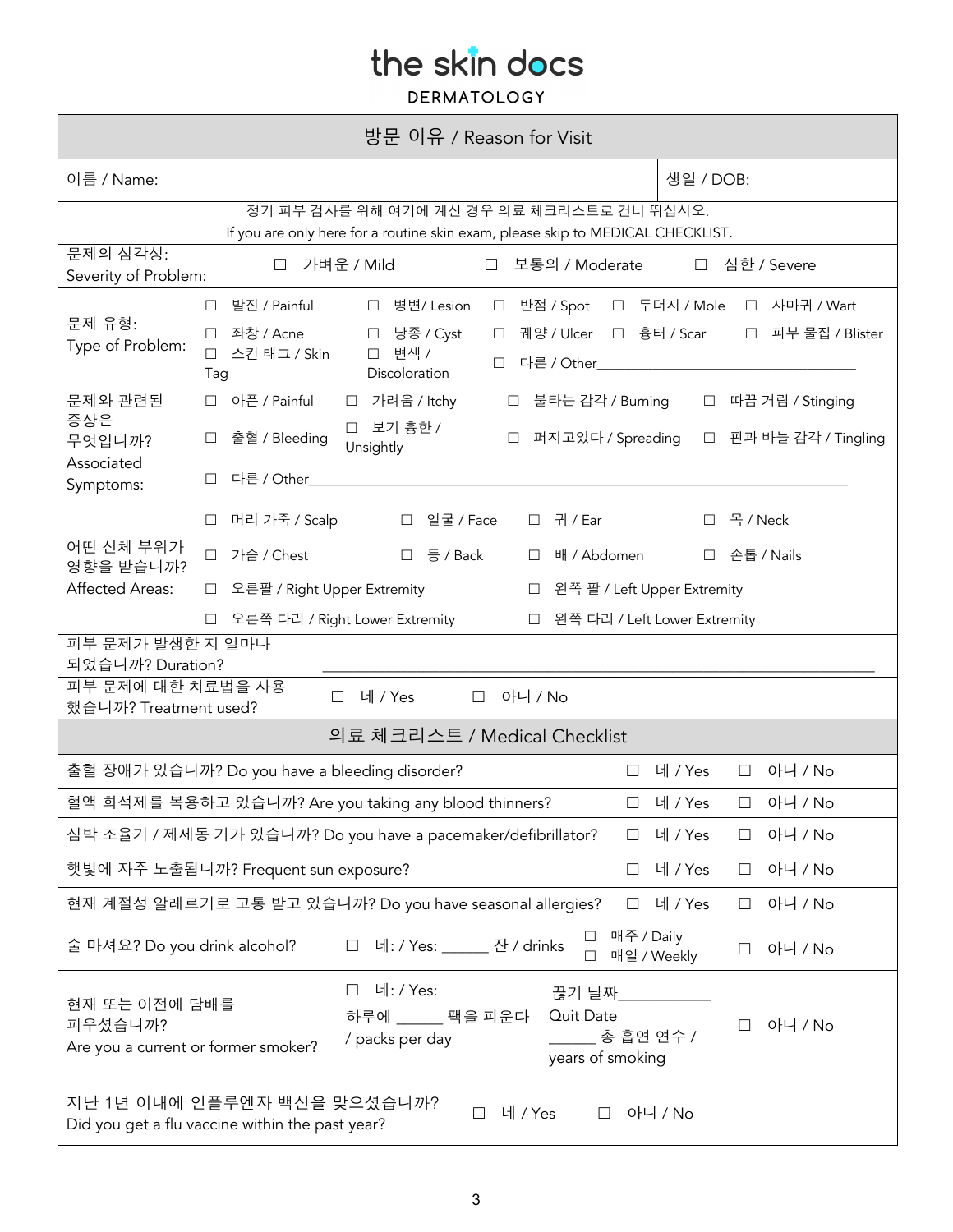| 방문 이유 / Reason for Visit                                                                                                     |                                                                                                                                                                                                                                                            |                                                                       |  |  |
|------------------------------------------------------------------------------------------------------------------------------|------------------------------------------------------------------------------------------------------------------------------------------------------------------------------------------------------------------------------------------------------------|-----------------------------------------------------------------------|--|--|
| 이름 / Name:                                                                                                                   |                                                                                                                                                                                                                                                            | 생일 / DOB:                                                             |  |  |
| 정기 피부 검사를 위해 여기에 계신 경우 의료 체크리스트로 건너 뛰십시오.<br>If you are only here for a routine skin exam, please skip to MEDICAL CHECKLIST. |                                                                                                                                                                                                                                                            |                                                                       |  |  |
| 문제의 심각성:<br>Severity of Problem:                                                                                             | 가벼운 / Mild<br>□ 보통의 / Moderate<br>П                                                                                                                                                                                                                        | □ 심한 / Severe                                                         |  |  |
| 문제 유형:<br>Type of Problem:                                                                                                   | □ 발진 / Painful<br>□ 병변/Lesion<br>□ 반점 / Spot<br>좌창 / Acne<br>□ 낭종 / Cyst<br>$\Box$<br>$\Box$<br>스킨 태그 / Skin<br>□ 변색 /<br>$\Box$<br>$\Box$<br>Discoloration<br>Tag                                                                                         | □ 두더지 / Mole □ 사마귀 / Wart<br>궤양 / Ulcer □ 흉터 / Scar □ 피부 물집 / Blister |  |  |
| 문제와 관련된<br>증상은<br>무엇입니까?<br>Associated<br>Symptoms:                                                                          | □ 아픈 / Painful<br>□ 가려움/Itchy<br>□ 불타는 감각 / Burning<br>□ 보기 흉한 /<br>출혈 / Bleeding<br>퍼지고있다 / Spreading<br>Unsightly<br>다른 / Other____<br>П                                                                                                                 | □ 따끔 거림 / Stinging<br>□ 핀과 바늘 감각 / Tingling                           |  |  |
| 어떤 신체 부위가<br>영향을 받습니까?<br><b>Affected Areas:</b>                                                                             | □ 머리 가죽 / Scalp<br>□ 얼굴 / Face<br>□ 귀 / Ear<br>□ 가슴 / Chest<br>□ 등 / Back<br>배 / Abdomen<br>$\Box$<br>□ 오른팔 / Right Upper Extremity<br>왼쪽 팔 / Left Upper Extremity<br>$\Box$<br>오른쪽 다리 / Right Lower Extremity<br>□ 왼쪽 다리 / Left Lower Extremity<br>$\Box$ | □ 목/Neck<br>□ 손톱 / Nails                                              |  |  |
| 피부 문제가 발생한 지 얼마나<br>되었습니까? Duration?<br>피부 문제에 대한 치료법을 사용<br>아니 / No<br>네 / Yes<br>$\Box$<br>П                               |                                                                                                                                                                                                                                                            |                                                                       |  |  |
| 했습니까? Treatment used?<br>의료 체크리스트 / Medical Checklist                                                                        |                                                                                                                                                                                                                                                            |                                                                       |  |  |
| 아니 / No<br>출혈 장애가 있습니까? Do you have a bleeding disorder?<br>□ 네 / Yes<br>$\Box$                                              |                                                                                                                                                                                                                                                            |                                                                       |  |  |
| 혈액 희석제를 복용하고 있습니까? Are you taking any blood thinners?<br>□ 네 / Yes<br>아니 / No<br>$\Box$                                      |                                                                                                                                                                                                                                                            |                                                                       |  |  |
| 심박 조율기 / 제세동 기가 있습니까? Do you have a pacemaker/defibrillator?<br>아니 / No<br>네 / Yes<br>$\Box$<br>$\Box$                       |                                                                                                                                                                                                                                                            |                                                                       |  |  |
| 햇빛에 자주 노출됩니까? Frequent sun exposure?<br>아니 / No<br>네 / Yes<br>$\Box$<br>$\Box$                                               |                                                                                                                                                                                                                                                            |                                                                       |  |  |
| 현재 계절성 알레르기로 고통 받고 있습니까? Do you have seasonal allergies?<br>아니 / No<br>네 / Yes<br>$\Box$<br>⊔                                |                                                                                                                                                                                                                                                            |                                                                       |  |  |
| 술 마셔요? Do you drink alcohol?                                                                                                 | 매주 / Daily<br>네: / Yes: 잔 / drinks<br>$\Box$<br>매일 / Weekly<br>□                                                                                                                                                                                           | 아니 / No<br>П                                                          |  |  |
| 현재 또는 이전에 담배를<br>피우셨습니까?<br>Are you a current or former smoker?                                                              | 네: / Yes:<br>$\Box$<br>끊기 날짜__________<br>Quit Date<br>하루에 _____ 팩을 피운다<br>총 흡연 연수 /<br>/ packs per day<br>years of smoking                                                                                                                                | 아니 / No                                                               |  |  |
| 지난 1년 이내에 인플루엔자 백신을 맞으셨습니까?<br>네 / Yes<br>아니 / No<br>$\Box$<br>$\Box$<br>Did you get a flu vaccine within the past year?     |                                                                                                                                                                                                                                                            |                                                                       |  |  |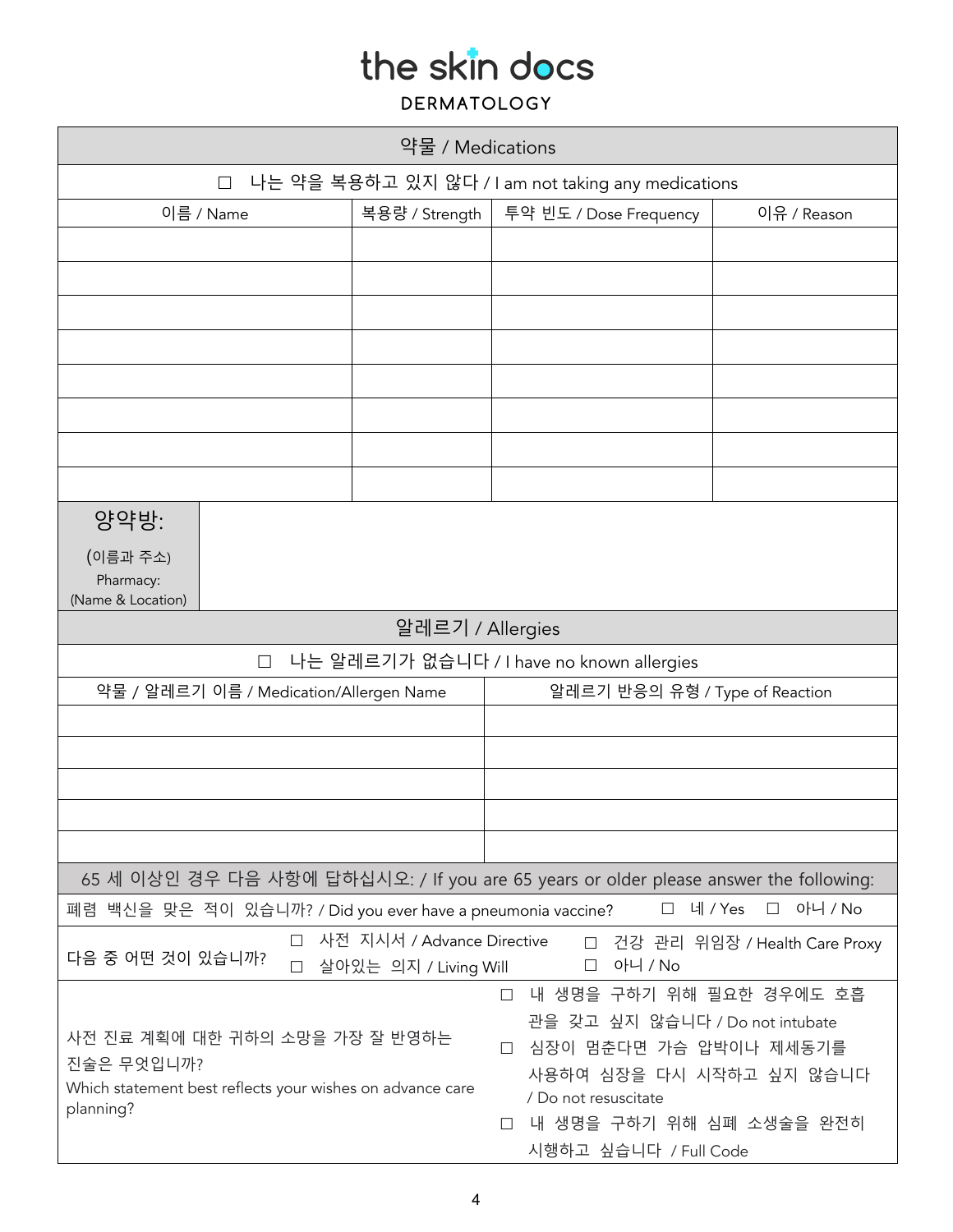| 약물 / Medications                                                                                                                                                                                                                                                                                                                                       |        |                  |                                           |             |
|--------------------------------------------------------------------------------------------------------------------------------------------------------------------------------------------------------------------------------------------------------------------------------------------------------------------------------------------------------|--------|------------------|-------------------------------------------|-------------|
| 나는 약을 복용하고 있지 않다 / I am not taking any medications<br>$\Box$                                                                                                                                                                                                                                                                                           |        |                  |                                           |             |
| 이름 / Name                                                                                                                                                                                                                                                                                                                                              |        | 복용량 / Strength   | 투약 빈도 / Dose Frequency                    | 이유 / Reason |
|                                                                                                                                                                                                                                                                                                                                                        |        |                  |                                           |             |
|                                                                                                                                                                                                                                                                                                                                                        |        |                  |                                           |             |
|                                                                                                                                                                                                                                                                                                                                                        |        |                  |                                           |             |
|                                                                                                                                                                                                                                                                                                                                                        |        |                  |                                           |             |
|                                                                                                                                                                                                                                                                                                                                                        |        |                  |                                           |             |
|                                                                                                                                                                                                                                                                                                                                                        |        |                  |                                           |             |
|                                                                                                                                                                                                                                                                                                                                                        |        |                  |                                           |             |
|                                                                                                                                                                                                                                                                                                                                                        |        |                  |                                           |             |
| 양약방:                                                                                                                                                                                                                                                                                                                                                   |        |                  |                                           |             |
| (이름과 주소)<br>Pharmacy:<br>(Name & Location)                                                                                                                                                                                                                                                                                                             |        |                  |                                           |             |
|                                                                                                                                                                                                                                                                                                                                                        |        | 알레르기 / Allergies |                                           |             |
|                                                                                                                                                                                                                                                                                                                                                        | $\Box$ |                  | 나는 알레르기가 없습니다 / I have no known allergies |             |
| 약물 / 알레르기 이름 / Medication/Allergen Name                                                                                                                                                                                                                                                                                                                |        |                  | 알레르기 반응의 유형 / Type of Reaction            |             |
|                                                                                                                                                                                                                                                                                                                                                        |        |                  |                                           |             |
|                                                                                                                                                                                                                                                                                                                                                        |        |                  |                                           |             |
|                                                                                                                                                                                                                                                                                                                                                        |        |                  |                                           |             |
|                                                                                                                                                                                                                                                                                                                                                        |        |                  |                                           |             |
|                                                                                                                                                                                                                                                                                                                                                        |        |                  |                                           |             |
| 65 세 이상인 경우 다음 사항에 답하십시오: / If you are 65 years or older please answer the following:<br>네 / Yes<br>아니 / No<br>폐렴 백신을 맞은 적이 있습니까? / Did you ever have a pneumonia vaccine?<br>$\Box$<br>$\Box$                                                                                                                                                         |        |                  |                                           |             |
| 사전 지시서 / Advance Directive<br>П<br>□ 건강 관리 위임장 / Health Care Proxy                                                                                                                                                                                                                                                                                     |        |                  |                                           |             |
| 다음 중 어떤 것이 있습니까?<br>아니 / No<br>$\Box$<br>살아있는 의지 / Living Will<br>$\Box$                                                                                                                                                                                                                                                                               |        |                  |                                           |             |
| 내 생명을 구하기 위해 필요한 경우에도 호흡<br>$\Box$<br>관을 갖고 싶지 않습니다 / Do not intubate<br>사전 진료 계획에 대한 귀하의 소망을 가장 잘 반영하는<br>심장이 멈춘다면 가슴 압박이나 제세동기를<br>$\Box$<br>진술은 무엇입니까?<br>사용하여 심장을 다시 시작하고 싶지 않습니다<br>Which statement best reflects your wishes on advance care<br>/ Do not resuscitate<br>planning?<br>내 생명을 구하기 위해 심폐 소생술을 완전히<br>$\Box$<br>시행하고 싶습니다 / Full Code |        |                  |                                           |             |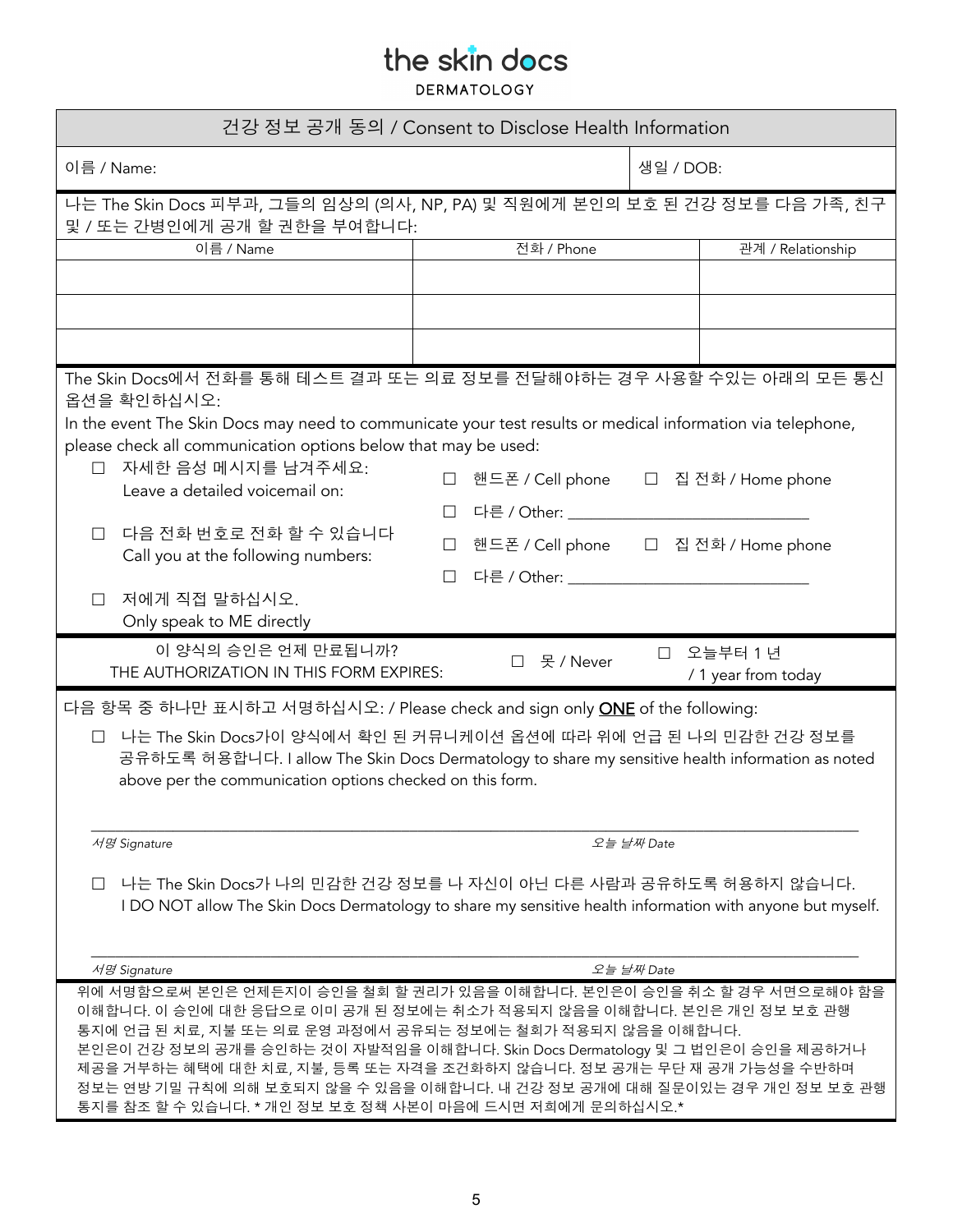| 건강 정보 공개 동의 / Consent to Disclose Health Information                                                                                                                                                                                                                                                                                                                         |         |                                             |           |                                  |  |
|------------------------------------------------------------------------------------------------------------------------------------------------------------------------------------------------------------------------------------------------------------------------------------------------------------------------------------------------------------------------------|---------|---------------------------------------------|-----------|----------------------------------|--|
| 이름 / Name:                                                                                                                                                                                                                                                                                                                                                                   |         |                                             | 생일 / DOB: |                                  |  |
| 나는 The Skin Docs 피부과, 그들의 임상의 (의사, NP, PA) 및 직원에게 본인의 보호 된 건강 정보를 다음 가족, 친구<br>및 / 또는 간병인에게 공개 할 권한을 부여합니다:                                                                                                                                                                                                                                                                  |         |                                             |           |                                  |  |
| 이름 / Name                                                                                                                                                                                                                                                                                                                                                                    |         | 전화 / Phone                                  |           | 관계 / Relationship                |  |
|                                                                                                                                                                                                                                                                                                                                                                              |         |                                             |           |                                  |  |
|                                                                                                                                                                                                                                                                                                                                                                              |         |                                             |           |                                  |  |
|                                                                                                                                                                                                                                                                                                                                                                              |         |                                             |           |                                  |  |
| The Skin Docs에서 전화를 통해 테스트 결과 또는 의료 정보를 전달해야하는 경우 사용할 수있는 아래의 모든 통신<br>옵션을 확인하십시오:                                                                                                                                                                                                                                                                                           |         |                                             |           |                                  |  |
| In the event The Skin Docs may need to communicate your test results or medical information via telephone,                                                                                                                                                                                                                                                                   |         |                                             |           |                                  |  |
| please check all communication options below that may be used:                                                                                                                                                                                                                                                                                                               |         |                                             |           |                                  |  |
| 자세한 음성 메시지를 남겨주세요:<br>$\Box$<br>Leave a detailed voicemail on:                                                                                                                                                                                                                                                                                                               | $\Box$  | 핸드폰 / Cell phone __ _ _ _ 집 전화 / Home phone |           |                                  |  |
|                                                                                                                                                                                                                                                                                                                                                                              |         | 다른 / Other: ___________________             |           |                                  |  |
| 다음 전화 번호로 전화 할 수 있습니다<br>П<br>Call you at the following numbers:                                                                                                                                                                                                                                                                                                             | П       | 핸드폰 / Cell phone 그 집 전화 / Home phone        |           |                                  |  |
|                                                                                                                                                                                                                                                                                                                                                                              | $\perp$ | 다른 / Other: _______________________________ |           |                                  |  |
| 저에게 직접 말하십시오.<br>П.<br>Only speak to ME directly                                                                                                                                                                                                                                                                                                                             |         |                                             |           |                                  |  |
| 이 양식의 승인은 언제 만료됩니까?                                                                                                                                                                                                                                                                                                                                                          |         |                                             |           |                                  |  |
| THE AUTHORIZATION IN THIS FORM EXPIRES:                                                                                                                                                                                                                                                                                                                                      |         | □ 못 / Never                                 |           | □ 오늘부터 1년<br>/ 1 year from today |  |
| 다음 항목 중 하나만 표시하고 서명하십시오: / Please check and sign only <b>ONE</b> of the following:                                                                                                                                                                                                                                                                                           |         |                                             |           |                                  |  |
| 나는 The Skin Docs가이 양식에서 확인 된 커뮤니케이션 옵션에 따라 위에 언급 된 나의 민감한 건강 정보를<br>$\Box$<br>공유하도록 허용합니다. I allow The Skin Docs Dermatology to share my sensitive health information as noted<br>above per the communication options checked on this form.                                                                                                                                  |         |                                             |           |                                  |  |
| 서명 Signature<br>오늘 날짜 Date                                                                                                                                                                                                                                                                                                                                                   |         |                                             |           |                                  |  |
|                                                                                                                                                                                                                                                                                                                                                                              |         |                                             |           |                                  |  |
| 나는 The Skin Docs가 나의 민감한 건강 정보를 나 자신이 아닌 다른 사람과 공유하도록 허용하지 않습니다.<br>I DO NOT allow The Skin Docs Dermatology to share my sensitive health information with anyone but myself.                                                                                                                                                                                                |         |                                             |           |                                  |  |
|                                                                                                                                                                                                                                                                                                                                                                              |         |                                             |           |                                  |  |
| $\mathcal{M} \mathcal{B}'$ Signature<br>오늘 날짜 Date                                                                                                                                                                                                                                                                                                                           |         |                                             |           |                                  |  |
| 위에 서명함으로써 본인은 언제든지이 승인을 철회 할 권리가 있음을 이해합니다. 본인은이 승인을 취소 할 경우 서면으로해야 함을                                                                                                                                                                                                                                                                                                       |         |                                             |           |                                  |  |
| 이해합니다. 이 승인에 대한 응답으로 이미 공개 된 정보에는 취소가 적용되지 않음을 이해합니다. 본인은 개인 정보 보호 관행<br>통지에 언급 된 치료, 지불 또는 의료 운영 과정에서 공유되는 정보에는 철회가 적용되지 않음을 이해합니다.<br>본인은이 건강 정보의 공개를 승인하는 것이 자발적임을 이해합니다. Skin Docs Dermatology 및 그 법인은이 승인을 제공하거나<br>제공을 거부하는 혜택에 대한 치료, 지불, 등록 또는 자격을 조건화하지 않습니다. 정보 공개는 무단 재 공개 가능성을 수반하며<br>정보는 연방 기밀 규칙에 의해 보호되지 않을 수 있음을 이해합니다. 내 건강 정보 공개에 대해 질문이있는 경우 개인 정보 보호 관행 |         |                                             |           |                                  |  |
| 통지를 참조 할 수 있습니다. * 개인 정보 보호 정책 사본이 마음에 드시면 저희에게 문의하십시오.*                                                                                                                                                                                                                                                                                                                     |         |                                             |           |                                  |  |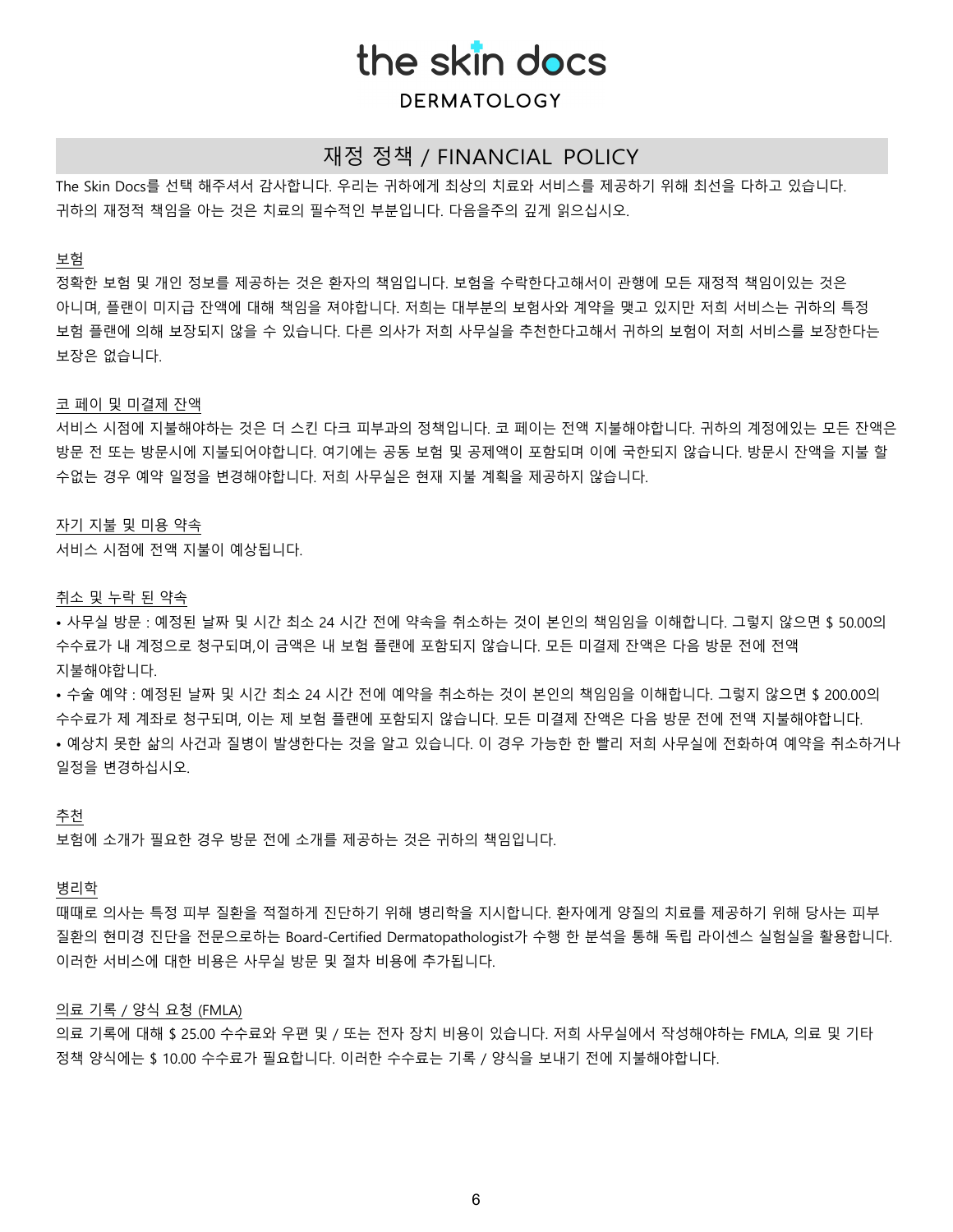## **DERMATOLOGY**

## 재정 정책 / FINANCIAL POLICY

The Skin Docs를 선택 해주셔서 감사합니다. 우리는 귀하에게 최상의 치료와 서비스를 제공하기 위해 최선을 다하고 있습니다. 귀하의 재정적 책임을 아는 것은 치료의 필수적인 부분입니다. 다음을주의 깊게 읽으십시오.

#### 보험

정확한 보험 및 개인 정보를 제공하는 것은 환자의 책임입니다. 보험을 수락한다고해서이 관행에 모든 재정적 책임이있는 것은 아니며, 플랜이 미지급 잔액에 대해 책임을 져야합니다. 저희는 대부분의 보험사와 계약을 맺고 있지만 저희 서비스는 귀하의 특정 보험 플랜에 의해 보장되지 않을 수 있습니다. 다른 의사가 저희 사무실을 추천한다고해서 귀하의 보험이 저희 서비스를 보장한다는 보장은 없습니다.

#### 코 페이 및 미결제 잔액

서비스 시점에 지불해야하는 것은 더 스킨 다크 피부과의 정책입니다. 코 페이는 전액 지불해야합니다. 귀하의 계정에있는 모든 잔액은 방문 전 또는 방문시에 지불되어야합니다. 여기에는 공동 보험 및 공제액이 포함되며 이에 국한되지 않습니다. 방문시 잔액을 지불 할 수없는 경우 예약 일정을 변경해야합니다. 저희 사무실은 현재 지불 계획을 제공하지 않습니다.

#### 자기 지불 및 미용 약속

서비스 시점에 전액 지불이 예상됩니다.

#### 취소 및 누락 된 약속

• 사무실 방문 : 예정된 날짜 및 시간 최소 24 시간 전에 약속을 취소하는 것이 본인의 책임임을 이해합니다. 그렇지 않으면 \$ 50.00의 수수료가 내 계정으로 청구되며,이 금액은 내 보험 플랜에 포함되지 않습니다. 모든 미결제 잔액은 다음 방문 전에 전액 지불해야합니다.

• 수술 예약 : 예정된 날짜 및 시간 최소 24 시간 전에 예약을 취소하는 것이 본인의 책임임을 이해합니다. 그렇지 않으면 \$ 200.00의 수수료가 제 계좌로 청구되며, 이는 제 보험 플랜에 포함되지 않습니다. 모든 미결제 잔액은 다음 방문 전에 전액 지불해야합니다. • 예상치 못한 삶의 사건과 질병이 발생한다는 것을 알고 있습니다. 이 경우 가능한 한 빨리 저희 사무실에 전화하여 예약을 취소하거나 일정을 변경하십시오.

#### 추천

보험에 소개가 필요한 경우 방문 전에 소개를 제공하는 것은 귀하의 책임입니다.

#### 병리학

때때로 의사는 특정 피부 질환을 적절하게 진단하기 위해 병리학을 지시합니다. 환자에게 양질의 치료를 제공하기 위해 당사는 피부 질환의 현미경 진단을 전문으로하는 Board-Certified Dermatopathologist가 수행 한 분석을 통해 독립 라이센스 실험실을 활용합니다. 이러한 서비스에 대한 비용은 사무실 방문 및 절차 비용에 추가됩니다.

#### 의료 기록 / 양식 요청 (FMLA)

의료 기록에 대해 \$ 25.00 수수료와 우편 및 / 또는 전자 장치 비용이 있습니다. 저희 사무실에서 작성해야하는 FMLA, 의료 및 기타 정책 양식에는 \$ 10.00 수수료가 필요합니다. 이러한 수수료는 기록 / 양식을 보내기 전에 지불해야합니다.